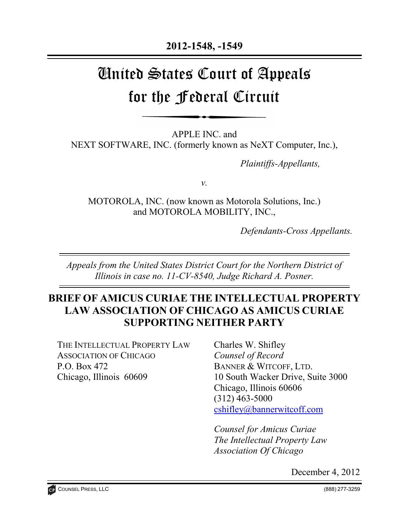# United States Court of Appeals for the Federal Circuit

APPLE INC. and NEXT SOFTWARE, INC. (formerly known as NeXT Computer, Inc.),

*Plaintiffs-Appellants,* 

*v.*

MOTOROLA, INC. (now known as Motorola Solutions, Inc.) and MOTOROLA MOBILITY, INC.,

*Defendants-Cross Appellants.*

*Appeals from the United States District Court for the Northern District of Illinois in case no. 11-CV-8540, Judge Richard A. Posner.*

# **BRIEF OF AMICUS CURIAE THE INTELLECTUAL PROPERTY LAW ASSOCIATION OF CHICAGO AS AMICUS CURIAE SUPPORTING NEITHER PARTY**

THE INTELLECTUAL PROPERTY LAW ASSOCIATION OF CHICAGO P.O. Box 472 Chicago, Illinois 60609

Charles W. Shifley *Counsel of Record* BANNER & WITCOFF, LTD. 10 South Wacker Drive, Suite 3000 Chicago, Illinois 60606 (312) 463-5000 [cshifley@bannerwitcoff.com](mailto:cshifley@bannerwitcoff.com)

*Counsel for Amicus Curiae The Intellectual Property Law Association Of Chicago*

December 4, 2012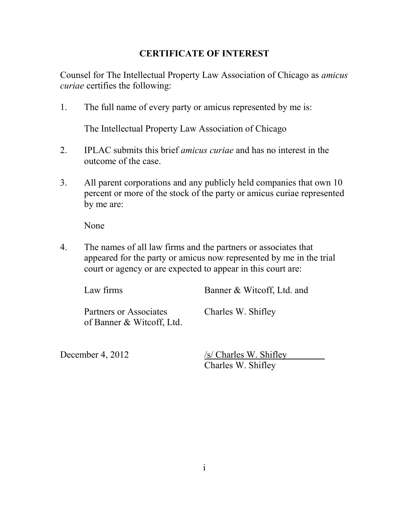### **CERTIFICATE OF INTEREST**

Counsel for The Intellectual Property Law Association of Chicago as *amicus curiae* certifies the following:

1. The full name of every party or amicus represented by me is:

The Intellectual Property Law Association of Chicago

- 2. IPLAC submits this brief *amicus curiae* and has no interest in the outcome of the case.
- 3. All parent corporations and any publicly held companies that own 10 percent or more of the stock of the party or amicus curiae represented by me are:

None

4. The names of all law firms and the partners or associates that appeared for the party or amicus now represented by me in the trial court or agency or are expected to appear in this court are:

| Law firms                                           | Banner & Witcoff, Ltd. and |
|-----------------------------------------------------|----------------------------|
| Partners or Associates<br>of Banner & Witcoff, Ltd. | Charles W. Shifley         |

December 4, 2012 /s/ Charles W. Shifley Charles W. Shifley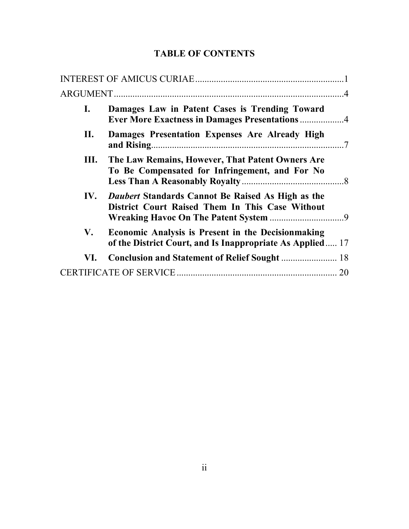## **TABLE OF CONTENTS**

| $\mathbf{I}$ . | Damages Law in Patent Cases is Trending Toward<br><b>Ever More Exactness in Damages Presentations 4</b>                 |    |
|----------------|-------------------------------------------------------------------------------------------------------------------------|----|
| П.             | Damages Presentation Expenses Are Already High                                                                          |    |
|                | III. The Law Remains, However, That Patent Owners Are<br>To Be Compensated for Infringement, and For No                 |    |
|                | IV. Daubert Standards Cannot Be Raised As High as the<br>District Court Raised Them In This Case Without                |    |
| V.             | <b>Economic Analysis is Present in the Decision making</b><br>of the District Court, and Is Inappropriate As Applied 17 |    |
| VI.            |                                                                                                                         |    |
|                |                                                                                                                         | 20 |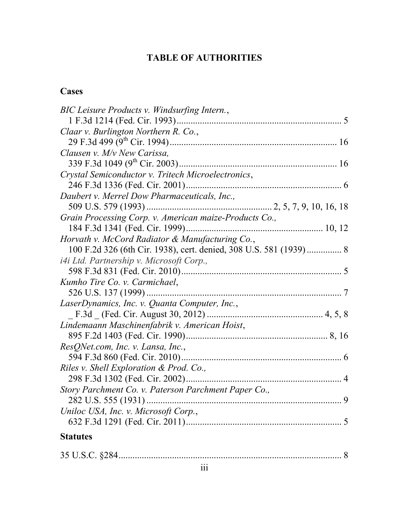# **TABLE OF AUTHORITIES**

# **Cases**

|--|--|--|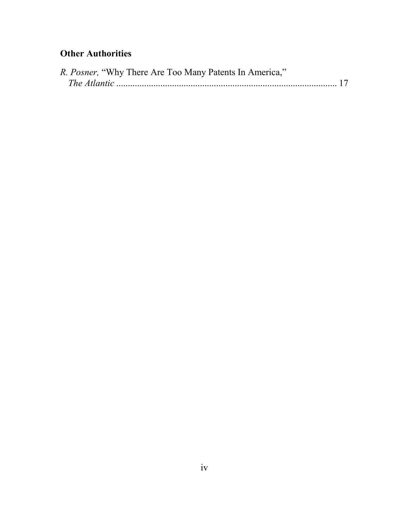## **Other Authorities**

| R. Posner, "Why There Are Too Many Patents In America," |  |
|---------------------------------------------------------|--|
|                                                         |  |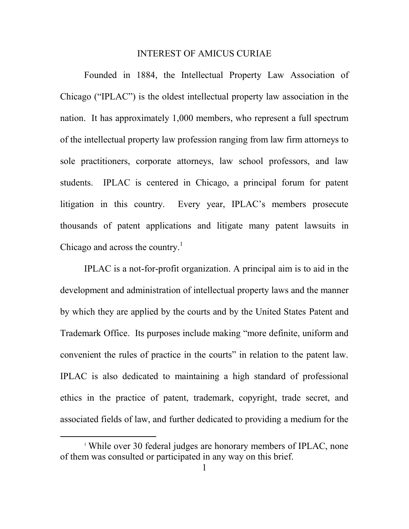#### INTEREST OF AMICUS CURIAE

Founded in 1884, the Intellectual Property Law Association of Chicago ("IPLAC") is the oldest intellectual property law association in the nation. It has approximately 1,000 members, who represent a full spectrum of the intellectual property law profession ranging from law firm attorneys to sole practitioners, corporate attorneys, law school professors, and law students. IPLAC is centered in Chicago, a principal forum for patent litigation in this country. Every year, IPLAC's members prosecute thousands of patent applications and litigate many patent lawsuits in Chicago and across the country.<sup>1</sup>

IPLAC is a not-for-profit organization. A principal aim is to aid in the development and administration of intellectual property laws and the manner by which they are applied by the courts and by the United States Patent and Trademark Office. Its purposes include making "more definite, uniform and convenient the rules of practice in the courts" in relation to the patent law. IPLAC is also dedicated to maintaining a high standard of professional ethics in the practice of patent, trademark, copyright, trade secret, and associated fields of law, and further dedicated to providing a medium for the

 $\overline{a}$ 

<sup>&</sup>lt;sup>1</sup> While over 30 federal judges are honorary members of IPLAC, none of them was consulted or participated in any way on this brief.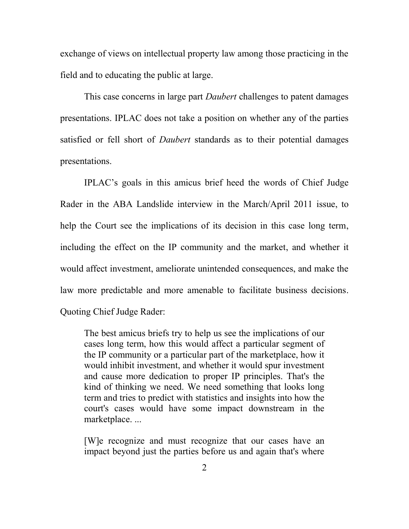exchange of views on intellectual property law among those practicing in the field and to educating the public at large.

This case concerns in large part *Daubert* challenges to patent damages presentations. IPLAC does not take a position on whether any of the parties satisfied or fell short of *Daubert* standards as to their potential damages presentations.

IPLAC's goals in this amicus brief heed the words of Chief Judge Rader in the ABA Landslide interview in the March/April 2011 issue, to help the Court see the implications of its decision in this case long term, including the effect on the IP community and the market, and whether it would affect investment, ameliorate unintended consequences, and make the law more predictable and more amenable to facilitate business decisions. Quoting Chief Judge Rader:

The best amicus briefs try to help us see the implications of our cases long term, how this would affect a particular segment of the IP community or a particular part of the marketplace, how it would inhibit investment, and whether it would spur investment and cause more dedication to proper IP principles. That's the kind of thinking we need. We need something that looks long term and tries to predict with statistics and insights into how the court's cases would have some impact downstream in the marketplace. ...

[W]e recognize and must recognize that our cases have an impact beyond just the parties before us and again that's where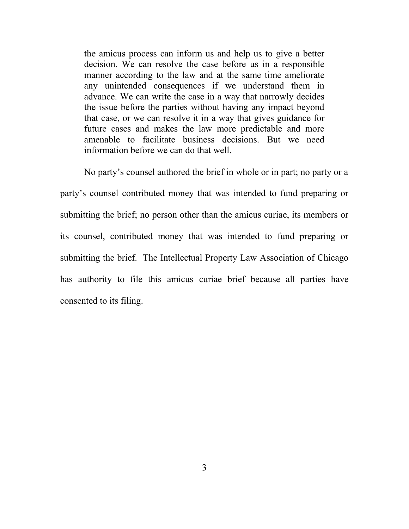the amicus process can inform us and help us to give a better decision. We can resolve the case before us in a responsible manner according to the law and at the same time ameliorate any unintended consequences if we understand them in advance. We can write the case in a way that narrowly decides the issue before the parties without having any impact beyond that case, or we can resolve it in a way that gives guidance for future cases and makes the law more predictable and more amenable to facilitate business decisions. But we need information before we can do that well.

No party's counsel authored the brief in whole or in part; no party or a party's counsel contributed money that was intended to fund preparing or submitting the brief; no person other than the amicus curiae, its members or its counsel, contributed money that was intended to fund preparing or submitting the brief. The Intellectual Property Law Association of Chicago has authority to file this amicus curiae brief because all parties have consented to its filing.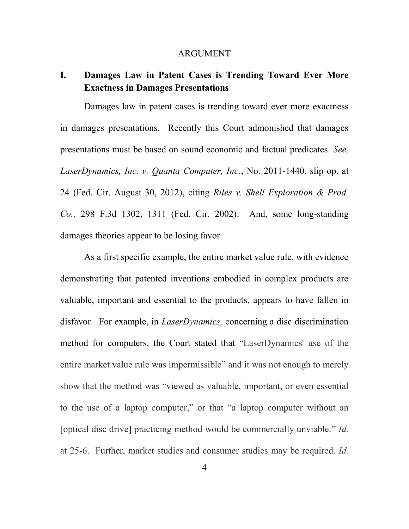#### ARGUMENT

## **I. Damages Law in Patent Cases is Trending Toward Ever More Exactness in Damages Presentations**

Damages law in patent cases is trending toward ever more exactness in damages presentations. Recently this Court admonished that damages presentations must be based on sound economic and factual predicates. *See, LaserDynamics, Inc. v. Quanta Computer, Inc.*, No. 2011-1440, slip op. at 24 (Fed. Cir. August 30, 2012), citing *[Riles v. Shell Exploration & Prod.](http://scholar.google.com/scholar_case?case=10487658687777437964&hl=en&as_sdt=2,9&as_vis=1)  Co.,* [298 F.3d 1302, 1311 \(Fed. Cir. 2002\).](http://scholar.google.com/scholar_case?case=10487658687777437964&hl=en&as_sdt=2,9&as_vis=1) And, some long-standing damages theories appear to be losing favor.

As a first specific example, the entire market value rule, with evidence demonstrating that patented inventions embodied in complex products are valuable, important and essential to the products, appears to have fallen in disfavor. For example, in *LaserDynamics,* concerning a disc discrimination method for computers, the Court stated that "LaserDynamics' use of the entire market value rule was impermissible" and it was not enough to merely show that the method was "viewed as valuable, important, or even essential to the use of a laptop computer," or that "a laptop computer without an [optical disc drive] practicing method would be commercially unviable." *Id.* at 25-6. Further, market studies and consumer studies may be required. *Id.*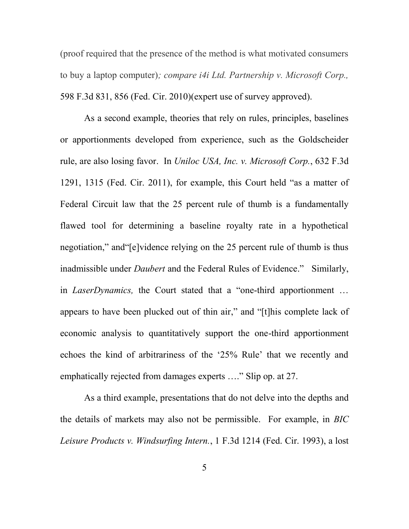(proof required that the presence of the method is what motivated consumers to buy a laptop computer)*; compare i4i Ltd. Partnership v. Microsoft Corp.,*  598 F.3d 831, 856 (Fed. Cir. 2010)(expert use of survey approved).

As a second example, theories that rely on rules, principles, baselines or apportionments developed from experience, such as the Goldscheider rule, are also losing favor. In *Uniloc USA, Inc. v. Microsoft Corp.*, 632 F.3d 1291, 1315 (Fed. Cir. 2011), for example, this Court held "as a matter of Federal Circuit law that the 25 percent rule of thumb is a fundamentally flawed tool for determining a baseline royalty rate in a hypothetical negotiation," and"[e]vidence relying on the 25 percent rule of thumb is thus inadmissible under *Daubert* and the Federal Rules of Evidence." Similarly, in *LaserDynamics,* the Court stated that a "one-third apportionment … appears to have been plucked out of thin air," and "[t]his complete lack of economic analysis to quantitatively support the one-third apportionment echoes the kind of arbitrariness of the '25% Rule' that we recently and emphatically rejected from damages experts …." Slip op. at 27.

As a third example, presentations that do not delve into the depths and the details of markets may also not be permissible. For example, in *BIC Leisure Products v. Windsurfing Intern.*, 1 F.3d 1214 (Fed. Cir. 1993), a lost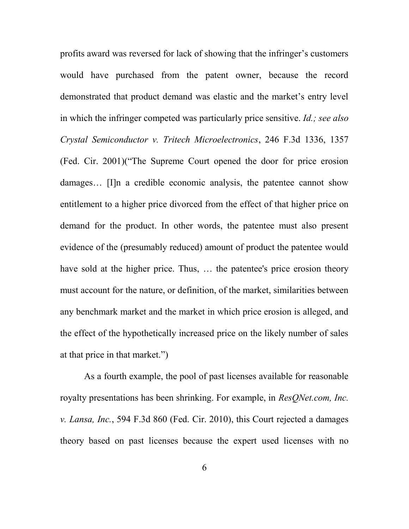profits award was reversed for lack of showing that the infringer's customers would have purchased from the patent owner, because the record demonstrated that product demand was elastic and the market's entry level in which the infringer competed was particularly price sensitive. *Id.; see also Crystal Semiconductor v. Tritech Microelectronics*, 246 F.3d 1336, 1357 (Fed. Cir. 2001)("The Supreme Court opened the door for price erosion damages... [I]n a credible economic analysis, the patentee cannot show entitlement to a higher price divorced from the effect of that higher price on demand for the product. In other words, the patentee must also present evidence of the (presumably reduced) amount of product the patentee would have sold at the higher price. Thus, ... the patentee's price erosion theory must account for the nature, or definition, of the market, similarities between any benchmark market and the market in which price erosion is alleged, and the effect of the hypothetically increased price on the likely number of sales at that price in that market.")

As a fourth example, the pool of past licenses available for reasonable royalty presentations has been shrinking. For example, in *ResQNet.com, Inc. v. Lansa, Inc.*, 594 F.3d 860 (Fed. Cir. 2010), this Court rejected a damages theory based on past licenses because the expert used licenses with no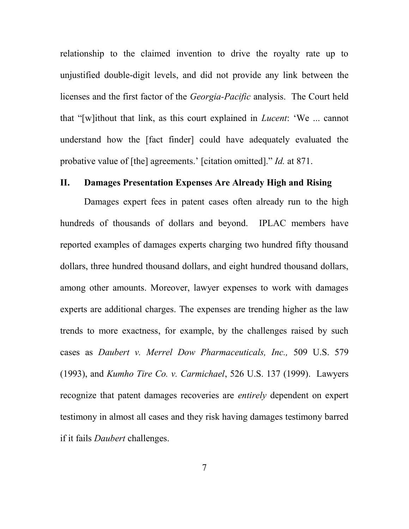relationship to the claimed invention to drive the royalty rate up to unjustified double-digit levels, and did not provide any link between the licenses and the first factor of the *Georgia-Pacific* analysis. The Court held that "[w]ithout that link, as this court explained in *Lucent*: 'We ... cannot understand how the [fact finder] could have adequately evaluated the probative value of [the] agreements.' [citation omitted]." *Id.* at 871.

#### **II. Damages Presentation Expenses Are Already High and Rising**

Damages expert fees in patent cases often already run to the high hundreds of thousands of dollars and beyond. IPLAC members have reported examples of damages experts charging two hundred fifty thousand dollars, three hundred thousand dollars, and eight hundred thousand dollars, among other amounts. Moreover, lawyer expenses to work with damages experts are additional charges. The expenses are trending higher as the law trends to more exactness, for example, by the challenges raised by such cases as *Daubert v. Merrel Dow Pharmaceuticals, Inc.,* 509 U.S. 579 (1993), and *Kumho Tire Co. v. Carmichael*, 526 U.S. 137 (1999). Lawyers recognize that patent damages recoveries are *entirely* dependent on expert testimony in almost all cases and they risk having damages testimony barred if it fails *Daubert* challenges.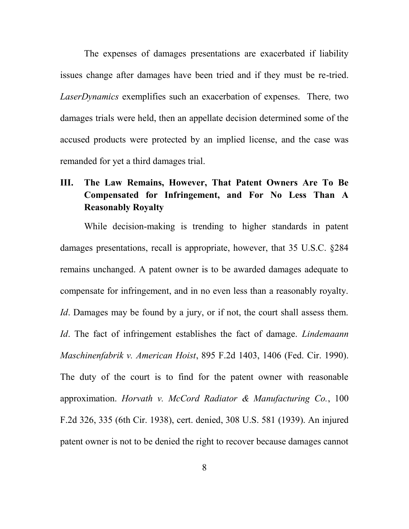The expenses of damages presentations are exacerbated if liability issues change after damages have been tried and if they must be re-tried. *LaserDynamics* exemplifies such an exacerbation of expenses. There*,* two damages trials were held, then an appellate decision determined some of the accused products were protected by an implied license, and the case was remanded for yet a third damages trial.

## **III. The Law Remains, However, That Patent Owners Are To Be Compensated for Infringement, and For No Less Than A Reasonably Royalty**

While decision-making is trending to higher standards in patent damages presentations, recall is appropriate, however, that 35 U.S.C. §284 remains unchanged. A patent owner is to be awarded damages adequate to compensate for infringement, and in no even less than a reasonably royalty. *Id*. Damages may be found by a jury, or if not, the court shall assess them. *Id*. The fact of infringement establishes the fact of damage. *Lindemaann Maschinenfabrik v. American Hoist*, 895 F.2d 1403, 1406 (Fed. Cir. 1990). The duty of the court is to find for the patent owner with reasonable approximation. *Horvath v. McCord Radiator & Manufacturing Co.*, 100 F.2d 326, 335 (6th Cir. 1938), cert. denied, 308 U.S. 581 (1939). An injured patent owner is not to be denied the right to recover because damages cannot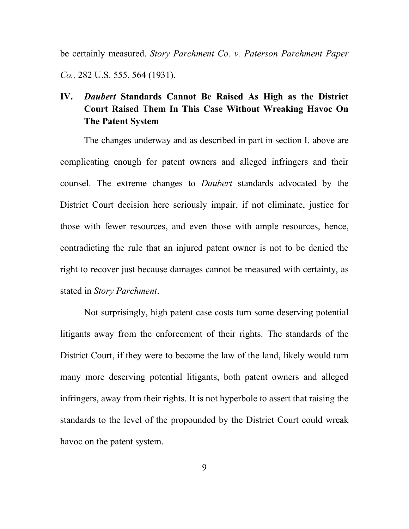be certainly measured. *Story Parchment Co. v. Paterson Parchment Paper Co.,* 282 U.S. 555, 564 (1931).

## **IV.** *Daubert* **Standards Cannot Be Raised As High as the District Court Raised Them In This Case Without Wreaking Havoc On The Patent System**

The changes underway and as described in part in section I. above are complicating enough for patent owners and alleged infringers and their counsel. The extreme changes to *Daubert* standards advocated by the District Court decision here seriously impair, if not eliminate, justice for those with fewer resources, and even those with ample resources, hence, contradicting the rule that an injured patent owner is not to be denied the right to recover just because damages cannot be measured with certainty, as stated in *Story Parchment*.

Not surprisingly, high patent case costs turn some deserving potential litigants away from the enforcement of their rights. The standards of the District Court, if they were to become the law of the land, likely would turn many more deserving potential litigants, both patent owners and alleged infringers, away from their rights. It is not hyperbole to assert that raising the standards to the level of the propounded by the District Court could wreak havoc on the patent system.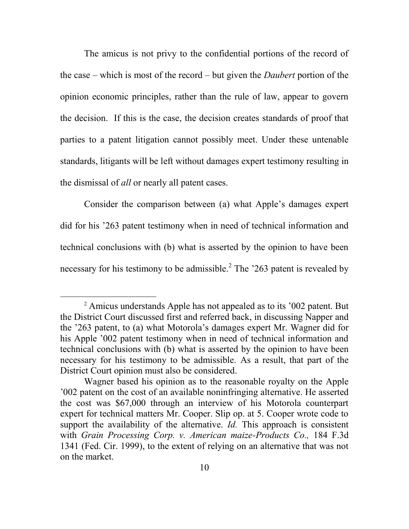The amicus is not privy to the confidential portions of the record of the case – which is most of the record – but given the *Daubert* portion of the opinion economic principles, rather than the rule of law, appear to govern the decision. If this is the case, the decision creates standards of proof that parties to a patent litigation cannot possibly meet. Under these untenable standards, litigants will be left without damages expert testimony resulting in the dismissal of *all* or nearly all patent cases.

Consider the comparison between (a) what Apple's damages expert did for his '263 patent testimony when in need of technical information and technical conclusions with (b) what is asserted by the opinion to have been necessary for his testimony to be admissible. $^{2}$  The '263 patent is revealed by

 $\overline{a}$ 

<sup>2</sup> Amicus understands Apple has not appealed as to its '002 patent. But the District Court discussed first and referred back, in discussing Napper and the '263 patent, to (a) what Motorola's damages expert Mr. Wagner did for his Apple '002 patent testimony when in need of technical information and technical conclusions with (b) what is asserted by the opinion to have been necessary for his testimony to be admissible. As a result, that part of the District Court opinion must also be considered.

Wagner based his opinion as to the reasonable royalty on the Apple '002 patent on the cost of an available noninfringing alternative. He asserted the cost was \$67,000 through an interview of his Motorola counterpart expert for technical matters Mr. Cooper. Slip op. at 5. Cooper wrote code to support the availability of the alternative. *Id.* This approach is consistent with *Grain Processing Corp. v. American maize-Products Co.,* 184 F.3d 1341 (Fed. Cir. 1999), to the extent of relying on an alternative that was not on the market.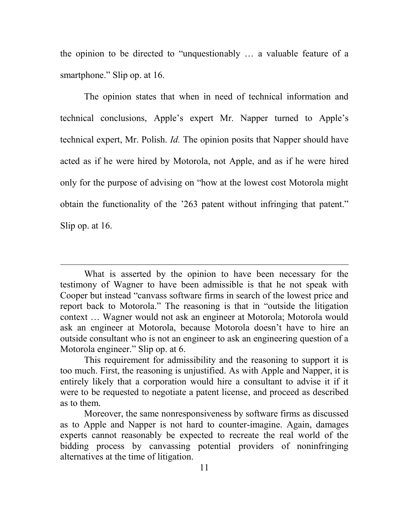the opinion to be directed to "unquestionably … a valuable feature of a smartphone." Slip op. at 16.

The opinion states that when in need of technical information and technical conclusions, Apple's expert Mr. Napper turned to Apple's technical expert, Mr. Polish. *Id.* The opinion posits that Napper should have acted as if he were hired by Motorola, not Apple, and as if he were hired only for the purpose of advising on "how at the lowest cost Motorola might obtain the functionality of the '263 patent without infringing that patent." Slip op. at 16.

 $\overline{a}$ 

What is asserted by the opinion to have been necessary for the testimony of Wagner to have been admissible is that he not speak with Cooper but instead "canvass software firms in search of the lowest price and report back to Motorola." The reasoning is that in "outside the litigation context … Wagner would not ask an engineer at Motorola; Motorola would ask an engineer at Motorola, because Motorola doesn't have to hire an outside consultant who is not an engineer to ask an engineering question of a Motorola engineer." Slip op. at 6.

This requirement for admissibility and the reasoning to support it is too much. First, the reasoning is unjustified. As with Apple and Napper, it is entirely likely that a corporation would hire a consultant to advise it if it were to be requested to negotiate a patent license, and proceed as described as to them.

Moreover, the same nonresponsiveness by software firms as discussed as to Apple and Napper is not hard to counter-imagine. Again, damages experts cannot reasonably be expected to recreate the real world of the bidding process by canvassing potential providers of noninfringing alternatives at the time of litigation.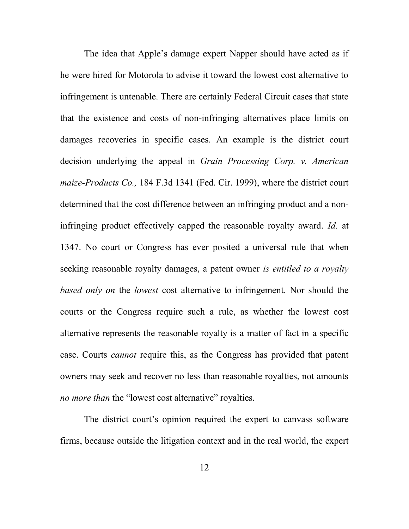The idea that Apple's damage expert Napper should have acted as if he were hired for Motorola to advise it toward the lowest cost alternative to infringement is untenable. There are certainly Federal Circuit cases that state that the existence and costs of non-infringing alternatives place limits on damages recoveries in specific cases. An example is the district court decision underlying the appeal in *Grain Processing Corp. v. American maize-Products Co.,* 184 F.3d 1341 (Fed. Cir. 1999), where the district court determined that the cost difference between an infringing product and a noninfringing product effectively capped the reasonable royalty award. *Id.* at 1347. No court or Congress has ever posited a universal rule that when seeking reasonable royalty damages, a patent owner *is entitled to a royalty based only on* the *lowest* cost alternative to infringement. Nor should the courts or the Congress require such a rule, as whether the lowest cost alternative represents the reasonable royalty is a matter of fact in a specific case. Courts *cannot* require this, as the Congress has provided that patent owners may seek and recover no less than reasonable royalties, not amounts *no more than* the "lowest cost alternative" royalties.

The district court's opinion required the expert to canvass software firms, because outside the litigation context and in the real world, the expert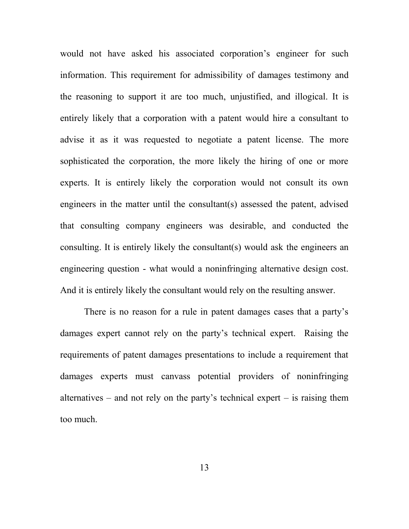would not have asked his associated corporation's engineer for such information. This requirement for admissibility of damages testimony and the reasoning to support it are too much, unjustified, and illogical. It is entirely likely that a corporation with a patent would hire a consultant to advise it as it was requested to negotiate a patent license. The more sophisticated the corporation, the more likely the hiring of one or more experts. It is entirely likely the corporation would not consult its own engineers in the matter until the consultant(s) assessed the patent, advised that consulting company engineers was desirable, and conducted the consulting. It is entirely likely the consultant(s) would ask the engineers an engineering question - what would a noninfringing alternative design cost. And it is entirely likely the consultant would rely on the resulting answer.

There is no reason for a rule in patent damages cases that a party's damages expert cannot rely on the party's technical expert. Raising the requirements of patent damages presentations to include a requirement that damages experts must canvass potential providers of noninfringing alternatives – and not rely on the party's technical expert – is raising them too much.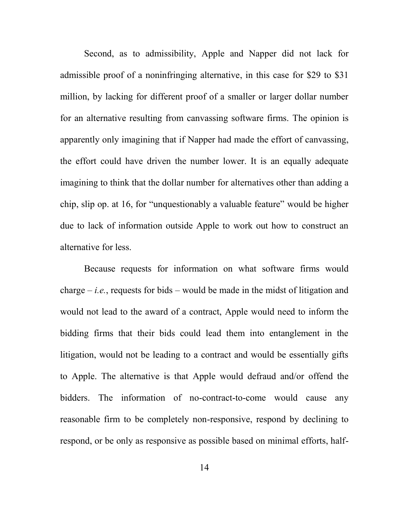Second, as to admissibility, Apple and Napper did not lack for admissible proof of a noninfringing alternative, in this case for \$29 to \$31 million, by lacking for different proof of a smaller or larger dollar number for an alternative resulting from canvassing software firms. The opinion is apparently only imagining that if Napper had made the effort of canvassing, the effort could have driven the number lower. It is an equally adequate imagining to think that the dollar number for alternatives other than adding a chip, slip op. at 16, for "unquestionably a valuable feature" would be higher due to lack of information outside Apple to work out how to construct an alternative for less.

Because requests for information on what software firms would charge  $-i.e.,$  requests for bids – would be made in the midst of litigation and would not lead to the award of a contract, Apple would need to inform the bidding firms that their bids could lead them into entanglement in the litigation, would not be leading to a contract and would be essentially gifts to Apple. The alternative is that Apple would defraud and/or offend the bidders. The information of no-contract-to-come would cause any reasonable firm to be completely non-responsive, respond by declining to respond, or be only as responsive as possible based on minimal efforts, half-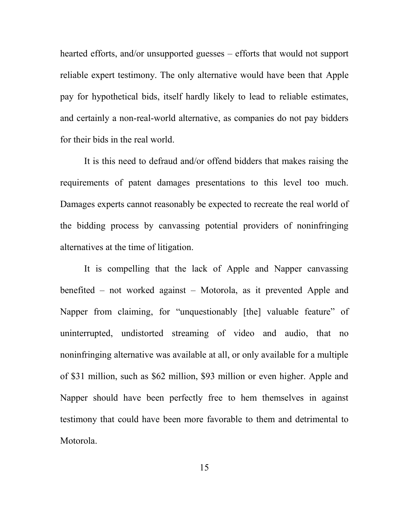hearted efforts, and/or unsupported guesses – efforts that would not support reliable expert testimony. The only alternative would have been that Apple pay for hypothetical bids, itself hardly likely to lead to reliable estimates, and certainly a non-real-world alternative, as companies do not pay bidders for their bids in the real world.

It is this need to defraud and/or offend bidders that makes raising the requirements of patent damages presentations to this level too much. Damages experts cannot reasonably be expected to recreate the real world of the bidding process by canvassing potential providers of noninfringing alternatives at the time of litigation.

It is compelling that the lack of Apple and Napper canvassing benefited – not worked against – Motorola, as it prevented Apple and Napper from claiming, for "unquestionably [the] valuable feature" of uninterrupted, undistorted streaming of video and audio, that no noninfringing alternative was available at all, or only available for a multiple of \$31 million, such as \$62 million, \$93 million or even higher. Apple and Napper should have been perfectly free to hem themselves in against testimony that could have been more favorable to them and detrimental to Motorola.

15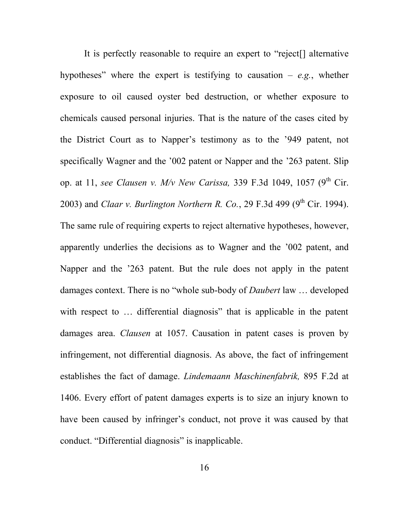It is perfectly reasonable to require an expert to "reject[] alternative hypotheses" where the expert is testifying to causation  $-e.g.,$  whether exposure to oil caused oyster bed destruction, or whether exposure to chemicals caused personal injuries. That is the nature of the cases cited by the District Court as to Napper's testimony as to the '949 patent, not specifically Wagner and the '002 patent or Napper and the '263 patent. Slip op. at 11, see Clausen v. M/v New Carissa, 339 F.3d 1049, 1057 (9<sup>th</sup> Cir. 2003) and *Claar v. Burlington Northern R. Co.*, 29 F.3d 499 (9<sup>th</sup> Cir. 1994). The same rule of requiring experts to reject alternative hypotheses, however, apparently underlies the decisions as to Wagner and the '002 patent, and Napper and the '263 patent. But the rule does not apply in the patent damages context. There is no "whole sub-body of *Daubert* law … developed with respect to ... differential diagnosis" that is applicable in the patent damages area. *Clausen* at 1057. Causation in patent cases is proven by infringement, not differential diagnosis. As above, the fact of infringement establishes the fact of damage. *Lindemaann Maschinenfabrik,* 895 F.2d at 1406. Every effort of patent damages experts is to size an injury known to have been caused by infringer's conduct, not prove it was caused by that conduct. "Differential diagnosis" is inapplicable.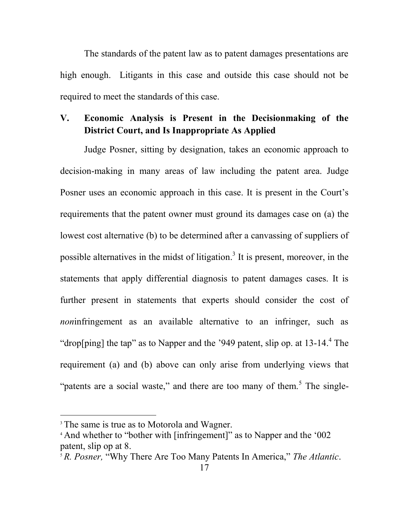The standards of the patent law as to patent damages presentations are high enough. Litigants in this case and outside this case should not be required to meet the standards of this case.

## **V. Economic Analysis is Present in the Decisionmaking of the District Court, and Is Inappropriate As Applied**

Judge Posner, sitting by designation, takes an economic approach to decision-making in many areas of law including the patent area. Judge Posner uses an economic approach in this case. It is present in the Court's requirements that the patent owner must ground its damages case on (a) the lowest cost alternative (b) to be determined after a canvassing of suppliers of possible alternatives in the midst of litigation.<sup>3</sup> It is present, moreover, in the statements that apply differential diagnosis to patent damages cases. It is further present in statements that experts should consider the cost of *non*infringement as an available alternative to an infringer, such as "drop[ping] the tap" as to Napper and the '949 patent, slip op. at  $13-14$ .<sup>4</sup> The requirement (a) and (b) above can only arise from underlying views that "patents are a social waste," and there are too many of them.<sup>5</sup> The single-

 $\overline{a}$ 

<sup>&</sup>lt;sup>3</sup> The same is true as to Motorola and Wagner.

<sup>4</sup> And whether to "bother with [infringement]" as to Napper and the '002 patent, slip op at 8.

<sup>5</sup> *R. Posner,* "Why There Are Too Many Patents In America," *The Atlantic*.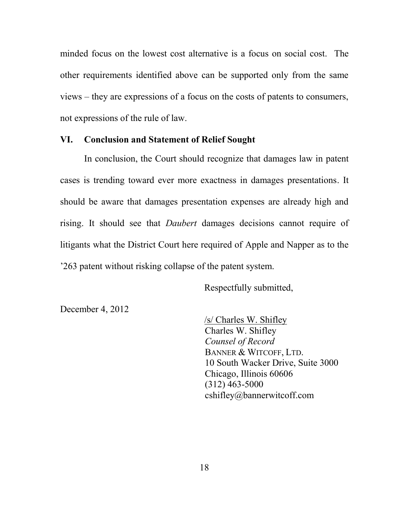minded focus on the lowest cost alternative is a focus on social cost. The other requirements identified above can be supported only from the same views – they are expressions of a focus on the costs of patents to consumers, not expressions of the rule of law.

#### **VI. Conclusion and Statement of Relief Sought**

In conclusion, the Court should recognize that damages law in patent cases is trending toward ever more exactness in damages presentations. It should be aware that damages presentation expenses are already high and rising. It should see that *Daubert* damages decisions cannot require of litigants what the District Court here required of Apple and Napper as to the '263 patent without risking collapse of the patent system.

Respectfully submitted,

December 4, 2012

/s/ Charles W. Shifley Charles W. Shifley *Counsel of Record* BANNER & WITCOFF, LTD. 10 South Wacker Drive, Suite 3000 Chicago, Illinois 60606 (312) 463-5000 cshifley@bannerwitcoff.com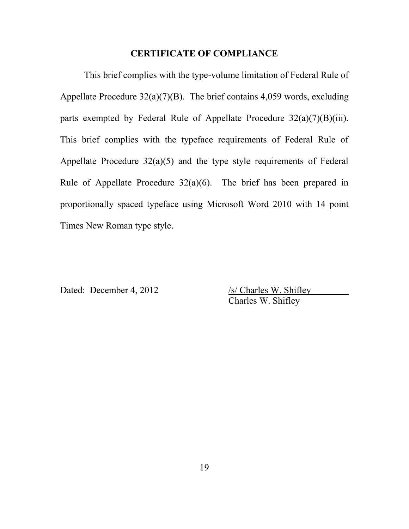#### **CERTIFICATE OF COMPLIANCE**

This brief complies with the type-volume limitation of Federal Rule of Appellate Procedure  $32(a)(7)(B)$ . The brief contains 4,059 words, excluding parts exempted by Federal Rule of Appellate Procedure  $32(a)(7)(B)(iii)$ . This brief complies with the typeface requirements of Federal Rule of Appellate Procedure  $32(a)(5)$  and the type style requirements of Federal Rule of Appellate Procedure  $32(a)(6)$ . The brief has been prepared in proportionally spaced typeface using Microsoft Word 2010 with 14 point Times New Roman type style.

Dated: December 4, 2012 /s/ Charles W. Shifley

Charles W. Shifley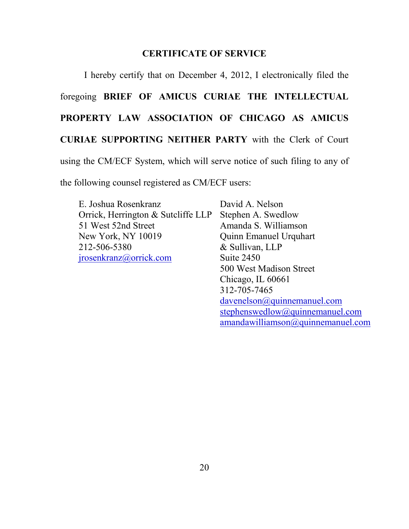#### **CERTIFICATE OF SERVICE**

I hereby certify that on December 4, 2012, I electronically filed the foregoing **BRIEF OF AMICUS CURIAE THE INTELLECTUAL PROPERTY LAW ASSOCIATION OF CHICAGO AS AMICUS CURIAE SUPPORTING NEITHER PARTY** with the Clerk of Court using the CM/ECF System, which will serve notice of such filing to any of

the following counsel registered as CM/ECF users:

| E. Joshua Rosenkranz               | David A. Nelson                 |
|------------------------------------|---------------------------------|
| Orrick, Herrington & Sutcliffe LLP | Stephen A. Swedlow              |
| 51 West 52nd Street                | Amanda S. Williamson            |
| <b>New York, NY 10019</b>          | <b>Quinn Emanuel Urquhart</b>   |
| 212-506-5380                       | & Sullivan, LLP                 |
| <u>irosenkranz@orrick.com</u>      | Suite 2450                      |
|                                    | 500 West Madison Street         |
|                                    | Chicago, IL 60661               |
|                                    | 312-705-7465                    |
|                                    | davenelson@quinnemanuel.com     |
|                                    | stephenswedlow@quinnemanuel.com |

[amandawilliamson@quinnemanuel.com](mailto:amandawilliamson@quinnemanuel.com)